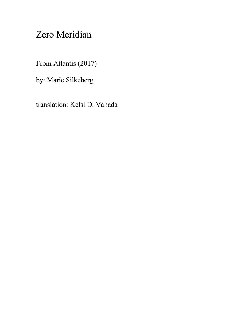## Zero Meridian

From Atlantis (2017)

by: Marie Silkeberg

translation: Kelsi D. Vanada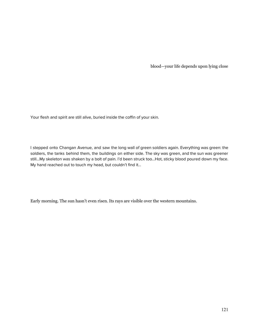blood—your life depends upon lying close

Your flesh and spirit are still alive, buried inside the coffin of your skin.

I stepped onto Changan Avenue, and saw the long wall of green soldiers again. Everything was green: the soldiers, the tanks behind them, the buildings on either side. The sky was green, and the sun was greener still…My skeleton was shaken by a bolt of pain. I'd been struck too…Hot, sticky blood poured down my face. My hand reached out to touch my head, but couldn't find it…

Early morning. The sun hasn't even risen. Its rays are visible over the western mountains.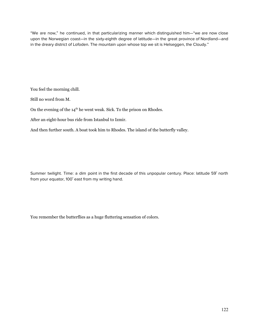"We are now," he continued, in that particularizing manner which distinguished him—"we are now close upon the Norwegian coast—in the sixty-eighth degree of latitude—in the great province of Nordland—and in the dreary district of Lofoden. The mountain upon whose top we sit is Helseggen, the Cloudy."

You feel the morning chill.

Still no word from M.

On the evening of the  $14<sup>th</sup>$  he went weak. Sick. To the prison on Rhodes.

After an eight-hour bus ride from Istanbul to Izmir.

And then further south. A boat took him to Rhodes. The island of the butterfly valley.

Summer twilight. Time: a dim point in the first decade of this unpopular century. Place: latitude 59˚ north from your equator, 100˚ east from my writing hand.

You remember the butterflies as a huge fluttering sensation of colors.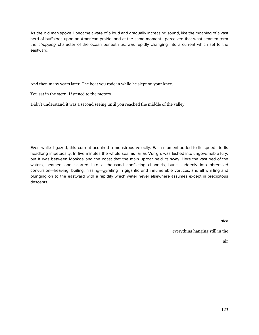As the old man spoke, I became aware of a loud and gradually increasing sound, like the moaning of a vast herd of buffaloes upon an American prairie; and at the same moment I perceived that what seamen term the *chopping* character of the ocean beneath us, was rapidly changing into a current which set to the eastward.

And then many years later. The boat you rode in while he slept on your knee.

You sat in the stern. Listened to the motors.

Didn't understand it was a second seeing until you reached the middle of the valley.

Even while I gazed, this current acquired a monstrous velocity. Each moment added to its speed—to its headlong impetuosity. In five minutes the whole sea, as far as Vurrgh, was lashed into ungovernable fury; but it was between Moskoe and the coast that the main uproar held its sway. Here the vast bed of the waters, seamed and scarred into a thousand conflicting channels, burst suddenly into phrensied convulsion—heaving, boiling, hissing—gyrating in gigantic and innumerable vortices, and all whirling and plunging on to the eastward with a rapidity which water never elsewhere assumes except in precipitous descents.

*sick*

everything hanging still in the

air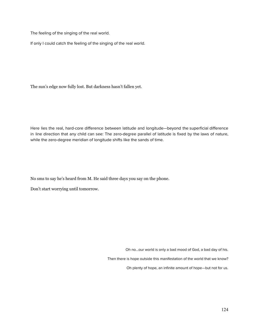The feeling of the singing of the real world.

If only I could catch the feeling of the singing of the real world.

The sun's edge now fully lost. But darkness hasn't fallen yet.

Here lies the real, hard-core difference between latitude and longitude—beyond the superficial difference in line direction that any child can see: The zero-degree parallel of latitude is fixed by the laws of nature, while the zero-degree meridian of longitude shifts like the sands of time.

No sms to say he's heard from M. He said three days you say on the phone.

Don't start worrying until tomorrow.

Oh no…our world is only a bad mood of God, a bad day of his.

Then there is hope outside this manifestation of the world that we know?

Oh plenty of hope, an infinite amount of hope—but not for us.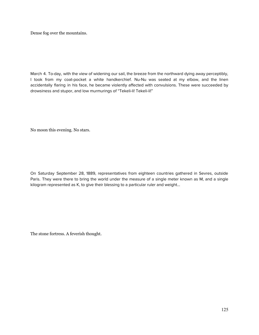Dense fog over the mountains.

March 4. To-day, with the view of widening our sail, the breeze from the northward dying away perceptibly, I took from my coat-pocket a white handkerchief. Nu-Nu was seated at my elbow, and the linen accidentally flaring in his face, he became violently affected with convulsions. These were succeeded by drowsiness and stupor, and low murmurings of "Tekeli-li! Tekeli-li!"

No moon this evening. No stars.

On Saturday September 28, 1889, representatives from eighteen countries gathered in Sevres, outside Paris. They were there to bring the world under the measure of a single meter known as M, and a single kilogram represented as K, to give their blessing to a particular ruler and weight...

The stone fortress. A feverish thought.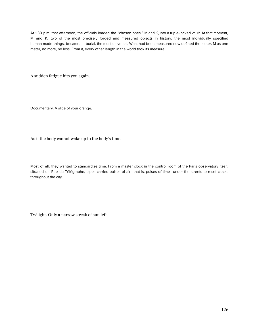At 1:30 p.m. that afternoon, the officials loaded the "chosen ones," M and K, into a triple-locked vault. At that moment, M and K, two of the most precisely forged and measured objects in history, the most individually specified human-made things, became, in burial, the most universal. What had been measured now defined the meter. M as one meter, no more, no less. From it, every other length in the world took its measure.

A sudden fatigue hits you again.

Documentary. A slice of your orange.

As if the body cannot wake up to the body's time.

Most of all, they wanted to standardize time. From a master clock in the control room of the Paris observatory itself, situated on Rue du Télégraphe, pipes carried pulses of air—that is, pulses of time—under the streets to reset clocks throughout the city…

Twilight. Only a narrow streak of sun left.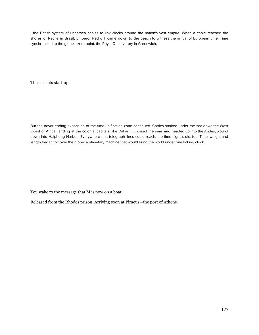…the British system of undersea cables to link clocks around the nation's vast empire. When a cable reached the shores of Recife in Brazil, Emperor Pedro II came down to the beach to witness the arrival of European time. Time synchronized to the globe's zero point, the Royal Observatory in Greenwich.

The crickets start up.

But the never-ending expansion of the time-unification zone continued. Cables snaked under the sea down the West Coast of Africa, landing at the colonial capitals, like Dakar. It crossed the seas and headed up into the Andes, wound down into Haiphong Harbor...Everywhere that telegraph lines could reach, the time signals did, too. Time, weight and length began to cover the globe: a planetary machine that would bring the world under one ticking clock.

You wake to the message that M is now on a boat.

Released from the Rhodes prison. Arriving soon at Piraeus—the port of Athens.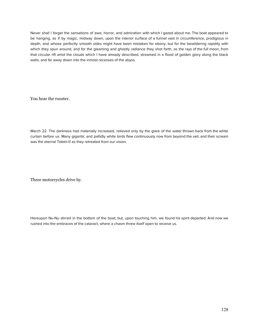Never shall I forget the sensations of awe, horror, and admiration with which I gazed about me. The boat appeared to be hanging, as if by magic, midway down, upon the interior surface of a funnel vast in circumference, prodigious in depth, and whose perfectly smooth sides might have been mistaken for ebony, but for the bewildering rapidity with which they spun around, and for the gleaming and ghastly radiance they shot forth, as the rays of the full moon, from that circular rift amid the clouds which I have already described, streamed in a flood of golden glory along the black walls, and far away down into the inmost recesses of the abyss.

You hear the rooster.

March 22. The darkness had materially increased, relieved only by the glare of the water thrown back from the white curtain before us. Many gigantic and pallidly white birds flew continuously now from beyond the veil, and their scream was the eternal Tekeli-li! as they retreated from our vision.

Three motorcycles drive by.

Hereupon Nu-Nu stirred in the bottom of the boat; but, upon touching him, we found his spirit departed. And now we rushed into the embraces of the cataract, where a chasm threw itself open to receive us.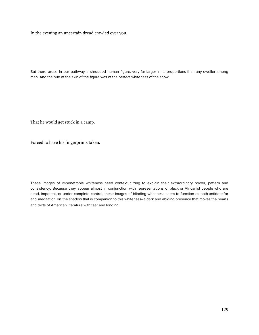In the evening an uncertain dread crawled over you.

But there arose in our pathway a shrouded human figure, very far larger in its proportions than any dweller among men. And the hue of the skin of the figure was of the perfect whiteness of the snow.

That he would get stuck in a camp.

Forced to have his fingerprints taken.

These images of impenetrable whiteness need contextualizing to explain their extraordinary power, pattern and consistency. Because they appear almost in conjunction with representations of black or Africanist people who are dead, impotent, or under complete control, these images of blinding whiteness seem to function as both antidote for and meditation on the shadow that is companion to this whiteness–a dark and abiding presence that moves the hearts and texts of American literature with fear and longing.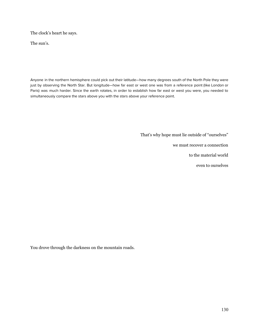The clock's heart he says.

The sun's.

Anyone in the northern hemisphere could pick out their latitude—how many degrees south of the North Pole they were just by observing the North Star. But longitude—how far east or west one was from a reference point (like London or Paris) was much harder. Since the earth rotates, in order to establish how far east or west you were, you needed to simultaneously compare the stars above you with the stars above your reference point.

That's why hope must lie outside of "ourselves"

we must recover a connection

to the material world

even to ourselves

You drove through the darkness on the mountain roads.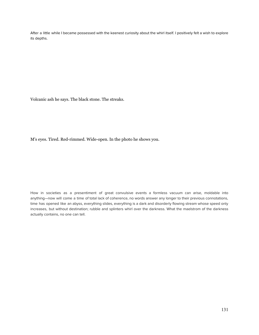After a little while I became possessed with the keenest curiosity about the whirl itself. I positively felt a wish to explore its depths.

Volcanic ash he says. The black stone. The streaks.

M's eyes. Tired. Red-rimmed. Wide-open. In the photo he shows you.

How in societies as a presentiment of great convulsive events a formless vacuum can arise, moldable into anything—now will come a time of total lack of coherence, no words answer any longer to their previous connotations, time has opened like an abyss, everything slides, everything is a dark and disorderly flowing stream whose speed only increases, but without destination; rubble and splinters whirl over the darkness. What the maelstrom of the darkness actually contains, no one can tell.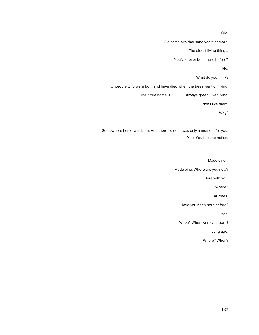Old.

Old some two thousand years or more.

The oldest living things.

You've never been here before?

No.

What do you think?

… people who were born and have died when the trees went on living.

Their true name is **Always green. Ever living.** 

I don't like them.

Why?

Somewhere here I was born. And there I died. It was only a moment for you. You. You took no notice.

Madeleine…

Madeleine. Where are you now?

Here with you.

Where?

Tall trees.

Have you been here before?

Yes.

When? When were you born?

Long ago.

Where? When?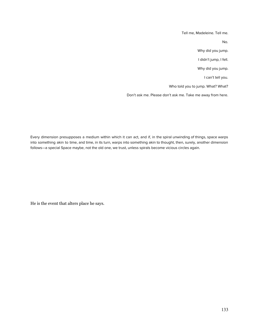Tell me, Madeleine. Tell me.

No.

Why did you jump.

I didn't jump, I fell.

Why did you jump.

I can't tell you.

Who told you to jump. What? What?

Don't ask me. Please don't ask me. Take me away from here.

Every dimension presupposes a medium within which it can act, and if, in the spiral unwinding of things, space warps into something akin to time, and time, in its turn, warps into something akin to thought, then, surely, another dimension follows—a special Space maybe, not the old one, we trust, unless spirals become vicious circles again.

He is the event that alters place he says.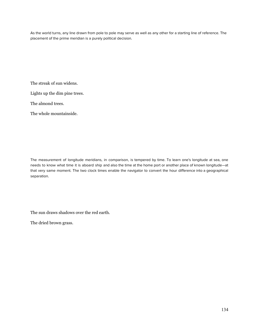As the world turns, any line drawn from pole to pole may serve as well as any other for a starting line of reference. The placement of the prime meridian is a purely political decision.

The streak of sun widens.

Lights up the dim pine trees.

The almond trees.

The whole mountainside.

The measurement of longitude meridians, in comparison, is tempered by time. To learn one's longitude at sea, one needs to know what time it is aboard ship and also the time at the home port or another place of known longitude—at that very same moment. The two clock times enable the navigator to convert the hour difference into a geographical separation.

The sun draws shadows over the red earth.

The dried brown grass.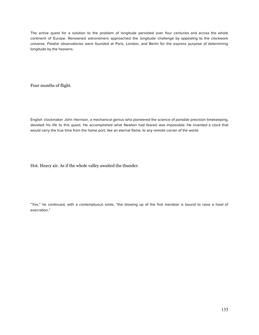The active quest for a solution to the problem of longitude persisted over four centuries and across the whole continent of Europe. Renowned astronomers approached the longitude challenge by appealing to the clockwork universe. Palatial observatories were founded at Paris, London, and Berlin for the express purpose of determining longitude by the heavens.

Four months of flight.

English clockmaker John Harrison, a mechanical genius who pioneered the science of portable precision timekeeping, devoted his life to this quest. He accomplished what Newton had feared was impossible: He invented a clock that would carry the true time from the home port, like an eternal flame, to any remote corner of the world.

Hot. Heavy air. As if the whole valley awaited the thunder.

"Yes," he continued, with a contemptuous smile, "the blowing up of the first meridian is bound to raise a howl of execration."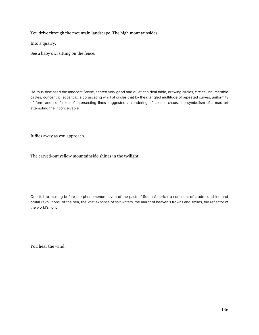You drive through the mountain landscape. The high mountainsides.

Into a quarry.

See a baby owl sitting on the fence.

He thus disclosed the innocent Stevie, seated very good and quiet at a deal table, drawing circles, circles; innumerable circles, concentric, eccentric; a coruscating whirl of circles that by their tangled multitude of repeated curves, uniformity of form and confusion of intersecting lines suggested a rendering of cosmic chaos, the symbolism of a mad art attempting the inconceivable.

It flies away as you approach.

The carved-out yellow mountainside shines in the twilight.

One fell to musing before the phenomenon—even of the past; of South America, a continent of crude sunshine and brutal revolutions, of the sea, the vast expanse of salt waters, the mirror of heaven's frowns and smiles, the reflector of the world's light.

You hear the wind.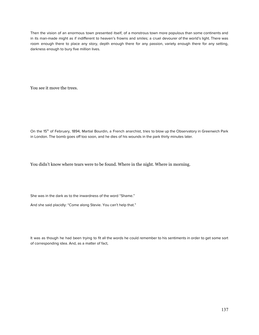Then the vision of an enormous town presented itself, of a monstrous town more populous than some continents and in its man-made might as if indifferent to heaven's frowns and smiles; a cruel devourer of the world's light. There was room enough there to place any story, depth enough there for any passion, variety enough there for any setting, darkness enough to bury five million lives.

You see it move the trees.

On the 15<sup>th</sup> of February, 1894, Martial Bourdin, a French anarchist, tries to blow up the Observatory in Greenwich Park in London. The bomb goes off too soon, and he dies of his wounds in the park thirty minutes later.

You didn't know where tears were to be found. Where in the night. Where in morning.

She was in the dark as to the inwardness of the word "Shame."

And she said placidly: "Come along Stevie. You can't help that."

It was as though he had been trying to fit all the words he could remember to his sentiments in order to get some sort of corresponding idea. And, as a matter of fact,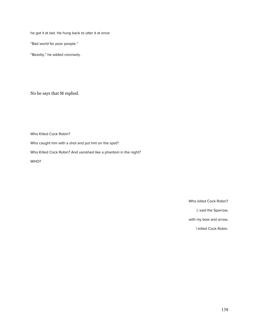he got it at last. He hung back to utter it at once:

"Bad world for poor people."

"Beastly," he added concisely.

No he says that M replied.

Who Killed Cock Robin?

Who caught him with a shot and put him on the spot?

Who Killed Cock Robin? And vanished like a phantom in the night?

WHO?

Who killed Cock Robin?

I, said the Sparrow,

with my bow and arrow,

I killed Cock Robin.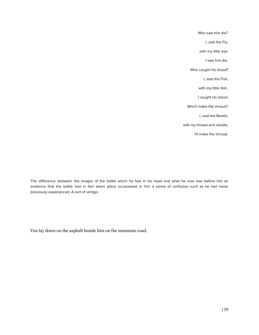Who saw him die? I, said the Fly, with my little eye, I saw him die. Who caught his blood? I, said the Fish, with my little dish, I caught his blood. Who'll make the shroud? I, said the Beetle, with my thread and needle, I'll make the shroud.

The difference between the images of the battle which he had in his head and what he now saw before him as evidence that the battle had in fact taken place occasioned in him a sense of confusion such as he had never previously experienced. A sort of vertigo.

You lay down on the asphalt beside him on the mountain road.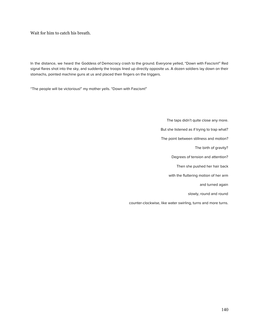Wait for him to catch his breath.

In the distance, we heard the Goddess of Democracy crash to the ground. Everyone yelled, "Down with Fascism!" Red signal flares shot into the sky, and suddenly the troops lined up directly opposite us. A dozen soldiers lay down on their stomachs, pointed machine guns at us and placed their fingers on the triggers.

"The people will be victorious!" my mother yells. "Down with Fascism!"

The taps didn't quite close any more. But she listened as if trying to trap what? The point between stillness and motion? The birth of gravity? Degrees of tension and attention? Then she pushed her hair back with the fluttering motion of her arm and turned again slowly, round and round counter-clockwise, like water swirling, turns and more turns.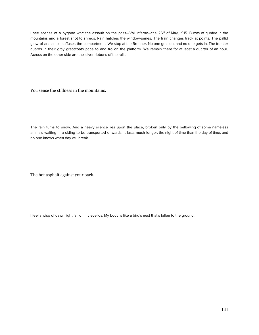I see scenes of a bygone war: the assault on the pass—Vall'Inferno—the 26<sup>th</sup> of May, 1915. Bursts of gunfire in the mountains and a forest shot to shreds. Rain hatches the window-panes. The train changes track at points. The pallid glow of arc-lamps suffuses the compartment. We stop at the Brenner. No one gets out and no one gets in. The frontier guards in their gray greatcoats pace to and fro on the platform. We remain there for at least a quarter of an hour. Across on the other side are the silver ribbons of the rails.

You sense the stillness in the mountains.

The rain turns to snow. And a heavy silence lies upon the place, broken only by the bellowing of some nameless animals waiting in a siding to be transported onwards. It lasts much longer, the night of time than the day of time, and no one knows when day will break.

The hot asphalt against your back.

I feel a wisp of dawn light fall on my eyelids. My body is like a bird's nest that's fallen to the ground.